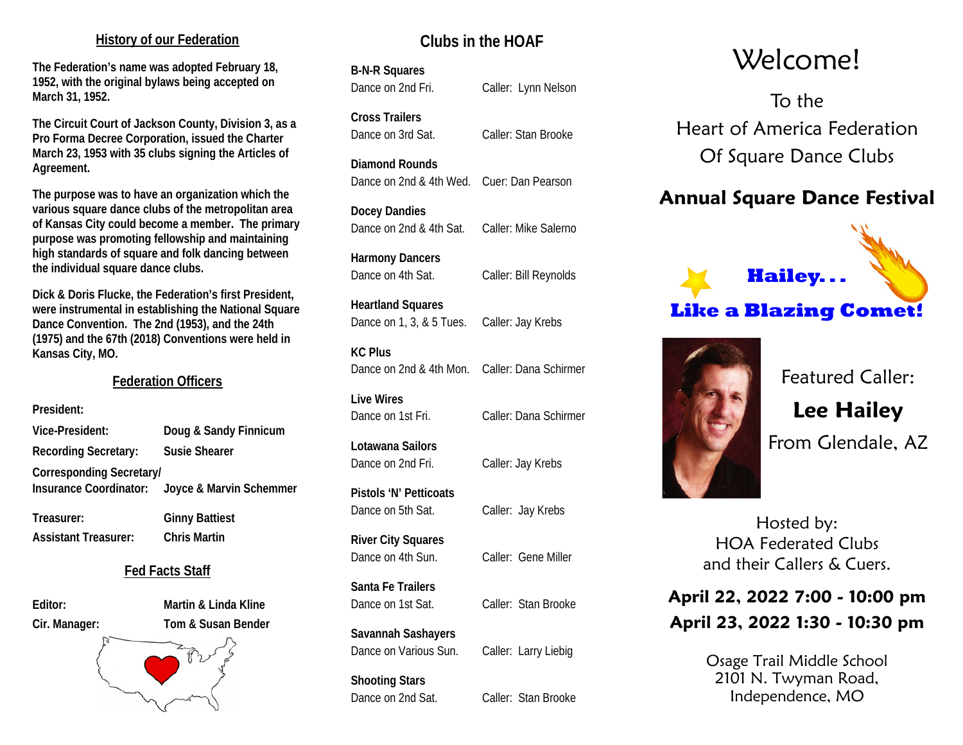#### **History of our Federation**

**The Federation's name was adopted February 18, 1952, with the original bylaws being accepted on March 31, 1952.**

**The Circuit Court of Jackson County, Division 3, as a Pro Forma Decree Corporation, issued the Charter March 23, 1953 with 35 clubs signing the Articles of Agreement.**

**The purpose was to have an organization which the various square dance clubs of the metropolitan area of Kansas City could become a member. The primary purpose was promoting fellowship and maintaining high standards of square and folk dancing between the individual square dance clubs.**

**Dick & Doris Flucke, the Federation's first President, were instrumental in establishing the National Square Dance Convention. The 2nd (1953), and the 24th (1975) and the 67th (2018) Conventions were held in Kansas City, MO.**

#### **Federation Officers**

**President:**

| <b>Vice-President:</b>          | Doug & Sandy Finnicum   |
|---------------------------------|-------------------------|
| <b>Recording Secretary:</b>     | <b>Susie Shearer</b>    |
| <b>Corresponding Secretary/</b> |                         |
| <b>Insurance Coordinator:</b>   | Joyce & Marvin Schemmer |
|                                 |                         |

**Treasurer: Ginny Battiest Assistant Treasurer: Chris Martin**

#### **Fed Facts Staff**

**Editor: Martin & Linda Kline Cir. Manager: Tom & Susan Bender**



# **Clubs in the HOAF**

## **B-N-R Squares**

Dance on 2nd Fri. Caller: Lynn Nelson

**Cross Trailers** Dance on 3rd Sat. Caller: Stan Brooke

#### **Diamond Rounds**

Dance on 2nd & 4th Wed. Cuer: Dan Pearson

**Docey Dandies** Dance on 2nd & 4th Sat. Caller: Mike Salerno

**Harmony Dancers** Dance on 4th Sat. Caller: Bill Reynolds

**Heartland Squares**

Dance on 1, 3, & 5 Tues. Caller: Jay Krebs

**KC Plus** Dance on 2nd & 4th Mon. Caller: Dana Schirmer

**Live Wires** Dance on 1st Fri. Caller: Dana Schirmer

**Lotawana Sailors** Dance on 2nd Fri. Caller: Jay Krebs

**Pistols 'N' Petticoats** Dance on 5th Sat. Caller: Jay Krebs

**River City Squares**

**Santa Fe Trailers** Dance on 1st Sat. Caller: Stan Brooke

**Savannah Sashayers**

**Shooting Stars** Dance on 2nd Sat. Caller: Stan Brooke

# Welcome!

To the Heart of America Federation Of Square Dance Clubs

# **Annual Square Dance Festival**





Featured Caller: **Lee Hailey** From Glendale, AZ

Hosted by: HOA Federated Clubs and their Callers & Cuers.

# **April 22, 2022 7:00 - 10:00 pm April 23, 2022 1:30 - 10:30 pm**

Osage Trail Middle School 2101 N. Twyman Road, Independence, MO

Dance on 4th Sun. Caller: Gene Miller

Dance on Various Sun. Caller: Larry Liebig